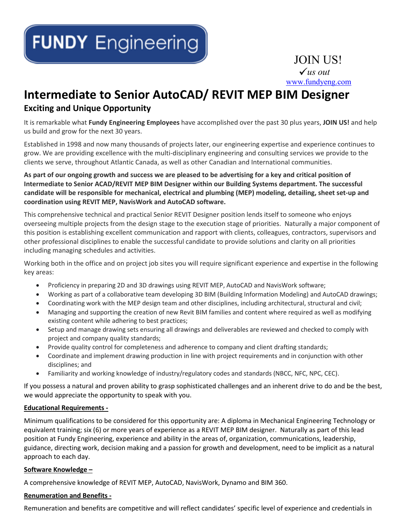# JOIN US! *us out* [www.fundyeng.com](http://www.fundyeng.com/)

## **Intermediate to Senior AutoCAD/ REVIT MEP BIM Designer**

### **Exciting and Unique Opportunity**

It is remarkable what **Fundy Engineering Employees** have accomplished over the past 30 plus years, **JOIN US!** and help us build and grow for the next 30 years.

Established in 1998 and now many thousands of projects later, our engineering expertise and experience continues to grow. We are providing excellence with the multi-disciplinary engineering and consulting services we provide to the clients we serve, throughout Atlantic Canada, as well as other Canadian and International communities.

#### **As part of our ongoing growth and success we are pleased to be advertising for a key and critical position of Intermediate to Senior ACAD/REVIT MEP BIM Designer within our Building Systems department. The successful candidate will be responsible for mechanical, electrical and plumbing (MEP) modeling, detailing, sheet set-up and coordination using REVIT MEP, NavisWork and AutoCAD software.**

This comprehensive technical and practical Senior REVIT Designer position lends itself to someone who enjoys overseeing multiple projects from the design stage to the execution stage of priorities. Naturally a major component of this position is establishing excellent communication and rapport with clients, colleagues, contractors, supervisors and other professional disciplines to enable the successful candidate to provide solutions and clarity on all priorities including managing schedules and activities.

Working both in the office and on project job sites you will require significant experience and expertise in the following key areas:

- Proficiency in preparing 2D and 3D drawings using REVIT MEP, AutoCAD and NavisWork software;
- Working as part of a collaborative team developing 3D BIM (Building Information Modeling) and AutoCAD drawings;
- Coordinating work with the MEP design team and other disciplines, including architectural, structural and civil;
- Managing and supporting the creation of new Revit BIM families and content where required as well as modifying existing content while adhering to best practices;
- Setup and manage drawing sets ensuring all drawings and deliverables are reviewed and checked to comply with project and company quality standards;
- Provide quality control for completeness and adherence to company and client drafting standards;
- Coordinate and implement drawing production in line with project requirements and in conjunction with other disciplines; and
- Familiarity and working knowledge of industry/regulatory codes and standards (NBCC, NFC, NPC, CEC).

If you possess a natural and proven ability to grasp sophisticated challenges and an inherent drive to do and be the best, we would appreciate the opportunity to speak with you.

#### **Educational Requirements -**

Minimum qualifications to be considered for this opportunity are: A diploma in Mechanical Engineering Technology or equivalent training; six (6) or more years of experience as a REVIT MEP BIM designer. Naturally as part of this lead position at Fundy Engineering, experience and ability in the areas of, organization, communications, leadership, guidance, directing work, decision making and a passion for growth and development, need to be implicit as a natural approach to each day.

#### **Software Knowledge –**

A comprehensive knowledge of REVIT MEP, AutoCAD, NavisWork, Dynamo and BIM 360.

#### **Renumeration and Benefits -**

Remuneration and benefits are competitive and will reflect candidates' specific level of experience and credentials in